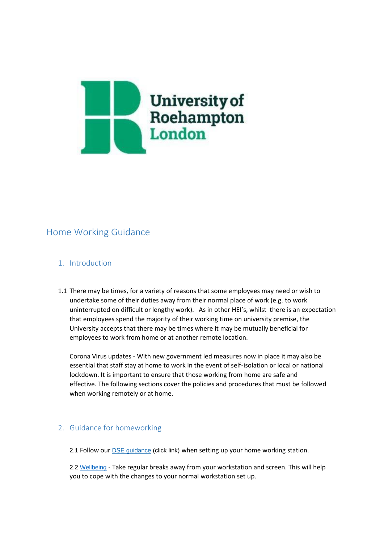

# Home Working Guidance

# 1. Introduction

1.1 There may be times, for a variety of reasons that some employees may need or wish to undertake some of their duties away from their normal place of work (e.g. to work uninterrupted on difficult or lengthy work). As in other HEI's, whilst there is an expectation that employees spend the majority of their working time on university premise, the University accepts that there may be times where it may be mutually beneficial for employees to work from home or at another remote location.

Corona Virus updates - With new government led measures now in place it may also be essential that staff stay at home to work in the event of self-isolation or local or national lockdown. It is important to ensure that those working from home are safe and effective. The following sections cover the policies and procedures that must be followed when working remotely or at home.

## 2. Guidance for homeworking

2.1 Follow our **DSE** guidance (click link) when setting up your home working station.

2.2 [Wellbeing](https://roehamptonprod-my.sharepoint.com/personal/t_beehan_roehampton_ac_uk/Documents/•%09Staff%20wellbeing%20page) - Take regular breaks away from your workstation and screen. This will help you to cope with the changes to your normal workstation set up.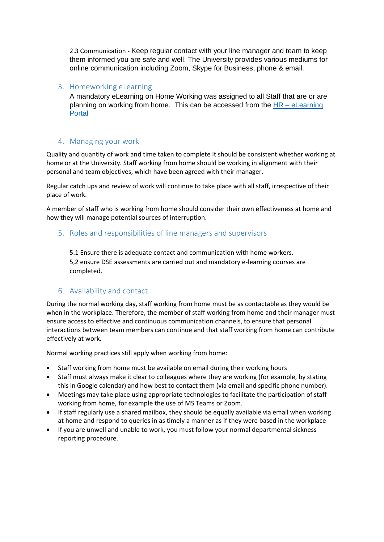2.3 Communication - Keep regular contact with your line manager and team to keep them informed you are safe and well. The University provides various mediums for online communication including Zoom, Skype for Business, phone & email.

#### 3. Homeworking eLearning

A mandatory eLearning on Home Working was assigned to all Staff that are or are planning on working from home. This can be accessed from the  $HR - eL$ earning [Portal](https://portal.roehampton.ac.uk/information/humanresources/Pages/elearning.aspx)

# 4. Managing your work

Quality and quantity of work and time taken to complete it should be consistent whether working at home or at the University. Staff working from home should be working in alignment with their personal and team objectives, which have been agreed with their manager.

Regular catch ups and review of work will continue to take place with all staff, irrespective of their place of work.

A member of staff who is working from home should consider their own effectiveness at home and how they will manage potential sources of interruption.

## 5. Roles and responsibilities of line managers and supervisors

5.1 Ensure there is adequate contact and communication with home workers. 5,2 ensure DSE assessments are carried out and mandatory e-learning courses are completed.

## 6. Availability and contact

During the normal working day, staff working from home must be as contactable as they would be when in the workplace. Therefore, the member of staff working from home and their manager must ensure access to effective and continuous communication channels, to ensure that personal interactions between team members can continue and that staff working from home can contribute effectively at work.

Normal working practices still apply when working from home:

- Staff working from home must be available on email during their working hours
- Staff must always make it clear to colleagues where they are working (for example, by stating this in Google calendar) and how best to contact them (via email and specific phone number).
- Meetings may take place using appropriate technologies to facilitate the participation of staff working from home, for example the use of [MS Teams](https://www.york.ac.uk/it-services/services/hangouts/) or Zoom.
- If staff regularly use a shared mailbox, they should be equally available via email when working at home and respond to queries in as timely a manner as if they were based in the workplace
- If you are unwell and unable to work, you must follow your normal departmental sickness reporting procedure.